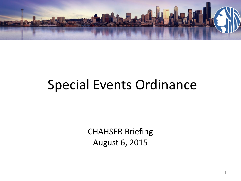

## Special Events Ordinance

CHAHSER Briefing August 6, 2015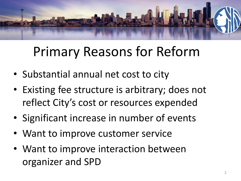

# Primary Reasons for Reform

- Substantial annual net cost to city
- Existing fee structure is arbitrary; does not reflect City's cost or resources expended
- Significant increase in number of events
- Want to improve customer service
- Want to improve interaction between organizer and SPD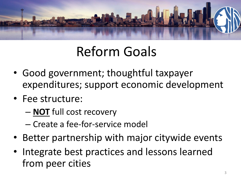

# Reform Goals

- Good government; thoughtful taxpayer expenditures; support economic development
- Fee structure:
	- **NOT** full cost recovery
	- Create a fee-for-service model
- Better partnership with major citywide events
- Integrate best practices and lessons learned from peer cities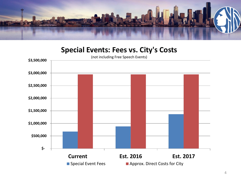

#### **Special Events: Fees vs. City's Costs**

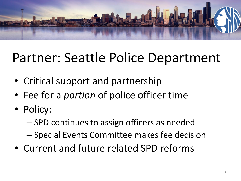

# Partner: Seattle Police Department

- Critical support and partnership
- Fee for a *portion* of police officer time
- Policy:
	- SPD continues to assign officers as needed
	- Special Events Committee makes fee decision
- Current and future related SPD reforms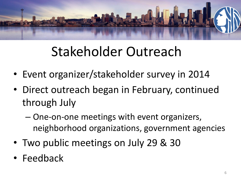

# Stakeholder Outreach

- Event organizer/stakeholder survey in 2014
- Direct outreach began in February, continued through July
	- One-on-one meetings with event organizers, neighborhood organizations, government agencies
- Two public meetings on July 29 & 30
- Feedback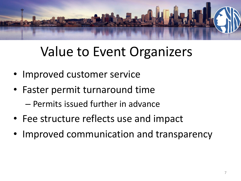

# Value to Event Organizers

- Improved customer service
- Faster permit turnaround time
	- Permits issued further in advance
- Fee structure reflects use and impact
- Improved communication and transparency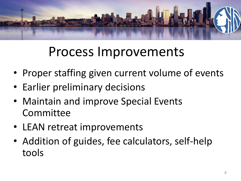

## Process Improvements

- Proper staffing given current volume of events
- Earlier preliminary decisions
- Maintain and improve Special Events Committee
- LEAN retreat improvements
- Addition of guides, fee calculators, self-help tools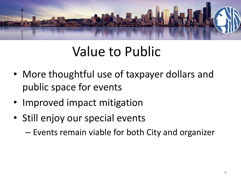

# Value to Public

- More thoughtful use of taxpayer dollars and public space for events
- Improved impact mitigation
- Still enjoy our special events

– Events remain viable for both City and organizer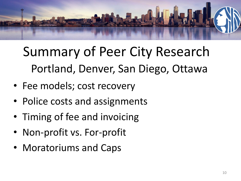

Summary of Peer City Research Portland, Denver, San Diego, Ottawa

- Fee models; cost recovery
- Police costs and assignments
- Timing of fee and invoicing
- Non-profit vs. For-profit
- Moratoriums and Caps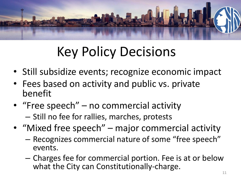

# Key Policy Decisions

- Still subsidize events; recognize economic impact
- Fees based on activity and public vs. private benefit
- "Free speech" no commercial activity – Still no fee for rallies, marches, protests
- "Mixed free speech" major commercial activity
	- Recognizes commercial nature of some "free speech" events.
	- Charges fee for commercial portion. Fee is at or below what the City can Constitutionally-charge.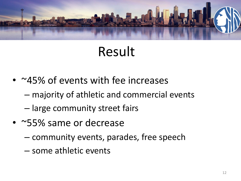

## Result

- ~45% of events with fee increases
	- majority of athletic and commercial events
	- large community street fairs
- ~55% same or decrease
	- community events, parades, free speech
	- some athletic events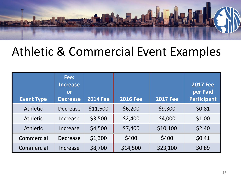

#### Athletic & Commercial Event Examples

| <b>Event Type</b> | Fee:<br><b>Increase</b><br>or<br><b>Decrease</b> | <b>2014 Fee</b> | <b>2016 Fee</b> | <b>2017 Fee</b> | <b>2017 Fee</b><br>per Paid<br>Participant |
|-------------------|--------------------------------------------------|-----------------|-----------------|-----------------|--------------------------------------------|
| Athletic          | <b>Decrease</b>                                  | \$11,600        | \$6,200         | \$9,300         | \$0.81                                     |
| <b>Athletic</b>   | Increase                                         | \$3,500         | \$2,400         | \$4,000         | \$1.00                                     |
| <b>Athletic</b>   | Increase                                         | \$4,500         | \$7,400         | \$10,100        | \$2.40                                     |
| Commercial        | Decrease                                         | \$1,300         | \$400           | \$400           | \$0.41                                     |
| Commercial        | Increase                                         | \$8,700         | \$14,500        | \$23,100        | \$0.89                                     |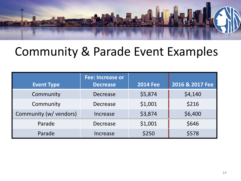

#### Community & Parade Event Examples

| <b>Event Type</b>      | <b>Fee: Increase or</b><br><b>Decrease</b> | <b>2014 Fee</b> | 2016 & 2017 Fee |  |  |
|------------------------|--------------------------------------------|-----------------|-----------------|--|--|
| Community              | Decrease                                   | \$5,874         | \$4,140         |  |  |
| Community              | Decrease                                   | \$1,001         | \$216           |  |  |
| Community (w/ vendors) | Increase                                   | \$3,874         | \$6,400         |  |  |
| Parade                 | <b>Decrease</b>                            | \$1,001         | \$646           |  |  |
| Parade                 | Increase                                   | \$250           | \$578           |  |  |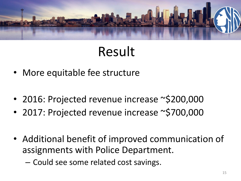

## Result

- More equitable fee structure
- 2016: Projected revenue increase ~\$200,000
- 2017: Projected revenue increase ~\$700,000
- Additional benefit of improved communication of assignments with Police Department.
	- Could see some related cost savings.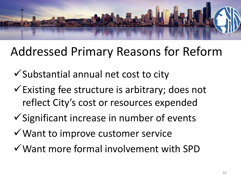

### Addressed Primary Reasons for Reform

- $\checkmark$  Substantial annual net cost to city
- $\checkmark$  Existing fee structure is arbitrary; does not reflect City's cost or resources expended
- $\checkmark$  Significant increase in number of events
- $\checkmark$  Want to improve customer service
- Want more formal involvement with SPD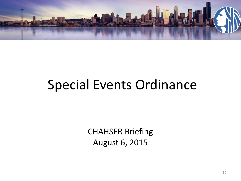

## Special Events Ordinance

CHAHSER Briefing August 6, 2015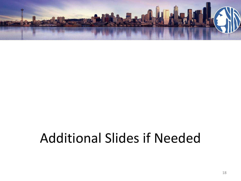

# Additional Slides if Needed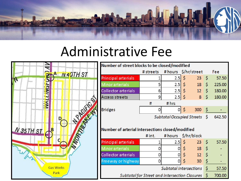

### Administrative Fee



| Number of street blocks to be closed/modified    |           |                                  |    |                 |     |        |
|--------------------------------------------------|-----------|----------------------------------|----|-----------------|-----|--------|
|                                                  | # streets | # hours \$/hr/street             |    |                 |     | Fee    |
| Principal arterials                              | 1         | 2.5                              | \$ | 23              | -\$ | 57.50  |
| Minor arterials                                  | 5         | 2.5                              | \$ | 18              | \$  | 225.00 |
| Collector arterials                              | 6         | 2.5                              | \$ | 12 <sup>2</sup> | \$  | 180.00 |
| Access streets                                   | 9         | 2.5                              | \$ | 8               | \$  | 180.00 |
|                                                  | #         | # hrs                            |    |                 |     |        |
| Bridges                                          | 0         | 01                               | \$ | 300             | \$. |        |
|                                                  |           | <b>Subtotal Occupied Streets</b> |    |                 | \$  | 642.50 |
|                                                  |           |                                  |    |                 |     |        |
| Number of arterial intersections closed/modified |           |                                  |    |                 |     |        |
|                                                  | #int.     | # hours                          |    | \$/hr/block     |     |        |
| Principal arterials                              | 1         | 2.5                              | \$ | 23              | -Ś  | 57.50  |
| Minor arterials                                  | 0         |                                  | \$ | 18              | \$  |        |
| Collector arterials                              | 0         | 0                                | \$ | 12              | \$  |        |
| Freeway or highway                               | 0         | 0                                | Ś  | 30              | \$  |        |
| <b>Subtotal Intersections</b>                    |           |                                  |    |                 | \$  | 57.50  |
| Subtotal for Street and Intersection Closures    |           |                                  |    |                 | \$  | 700.00 |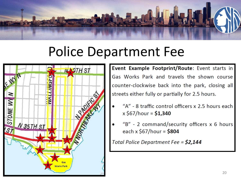

## Police Department Fee



**Event Example Footprint/Route:** Event starts in Gas Works Park and travels the shown course counter-clockwise back into the park, closing all streets either fully or partially for 2.5 hours.

- "A" 8 traffic control officers x 2.5 hours each  $x $67/hour = $1,340$
- "B" 2 command/security officers  $x$  6 hours each x \$67/hour =  $$804$

Total Police Department Fee =  $$2,144$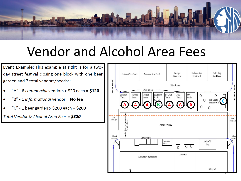

## Vendor and Alcohol Area Fees

Event Example: This example at right is for a twoday street festival closing one block with one beer garden and 7 total vendors/booths:

- "A" 6 commercial vendors x \$20 each = \$120  $\bullet$
- "B" 1 informational vendor = No fee  $\bullet$
- "C" 1 beer garden x \$200 each =  $$200$  $\bullet$

Total Vendor & Alcohol Area Fees = \$320